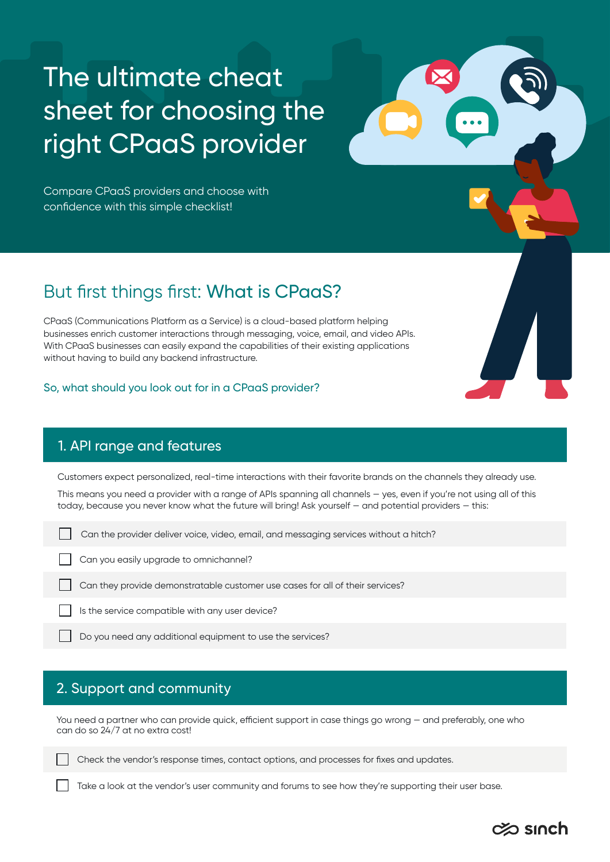# The ultimate cheat sheet for choosing the right CPaaS provider

Compare CPaaS providers and choose with confidence with this simple checklist!

# But first things first: What is CPaaS?

CPaaS (Communications Platform as a Service) is a cloud-based platform helping businesses enrich customer interactions through messaging, voice, email, and video APIs. With CPaaS businesses can easily expand the capabilities of their existing applications without having to build any backend infrastructure.

#### So, what should you look out for in a CPaaS provider?

### 1. API range and features

Customers expect personalized, real-time interactions with their favorite brands on the channels they already use.

This means you need a provider with a range of APIs spanning all channels — yes, even if you're not using all of this today, because you never know what the future will bring! Ask yourself — and potential providers — this:

Can the provider deliver voice, video, email, and messaging services without a hitch?

Can you easily upgrade to omnichannel?

Can they provide demonstratable customer use cases for all of their services?

Is the service compatible with any user device?

Do you need any additional equipment to use the services?

# 2. Support and community

You need a partner who can provide quick, efficient support in case things go wrong — and preferably, one who can do so 24/7 at no extra cost!

Check the vendor's response times, contact options, and processes for fixes and updates.

Take a look at the vendor's user community and forums to see how they're supporting their user base.

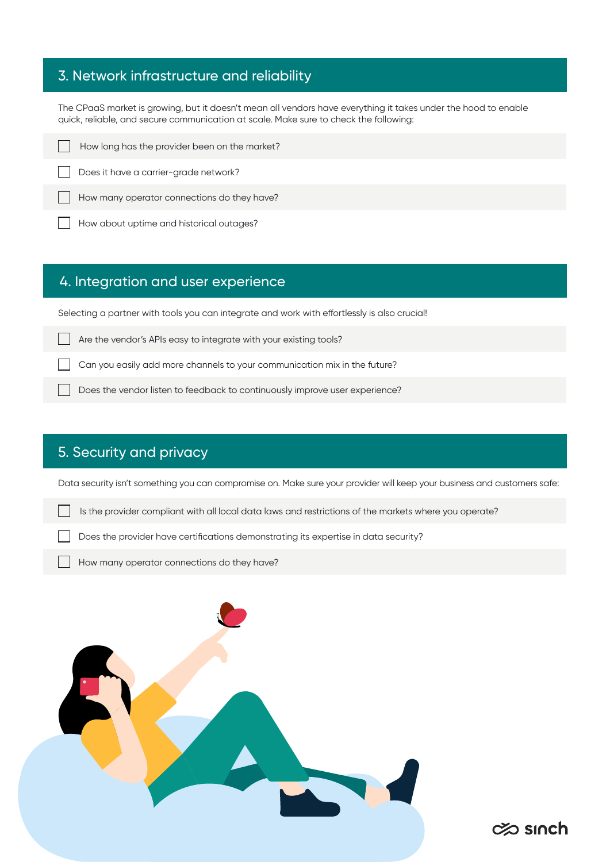# 3. Network infrastructure and reliability

The CPaaS market is growing, but it doesn't mean all vendors have everything it takes under the hood to enable quick, reliable, and secure communication at scale. Make sure to check the following:

|  |  |  |  | How long has the provider been on the market? |
|--|--|--|--|-----------------------------------------------|
|  |  |  |  |                                               |

Does it have a carrier-grade network?

How many operator connections do they have?

How about uptime and historical outages?

#### 4. Integration and user experience

Selecting a partner with tools you can integrate and work with effortlessly is also crucial!

Are the vendor's APIs easy to integrate with your existing tools?

Can you easily add more channels to your communication mix in the future?

Does the vendor listen to feedback to continuously improve user experience?

# 5. Security and privacy

Data security isn't something you can compromise on. Make sure your provider will keep your business and customers safe:

 $\infty$  sinch

Is the provider compliant with all local data laws and restrictions of the markets where you operate?

Does the provider have certifications demonstrating its expertise in data security?

How many operator connections do they have?